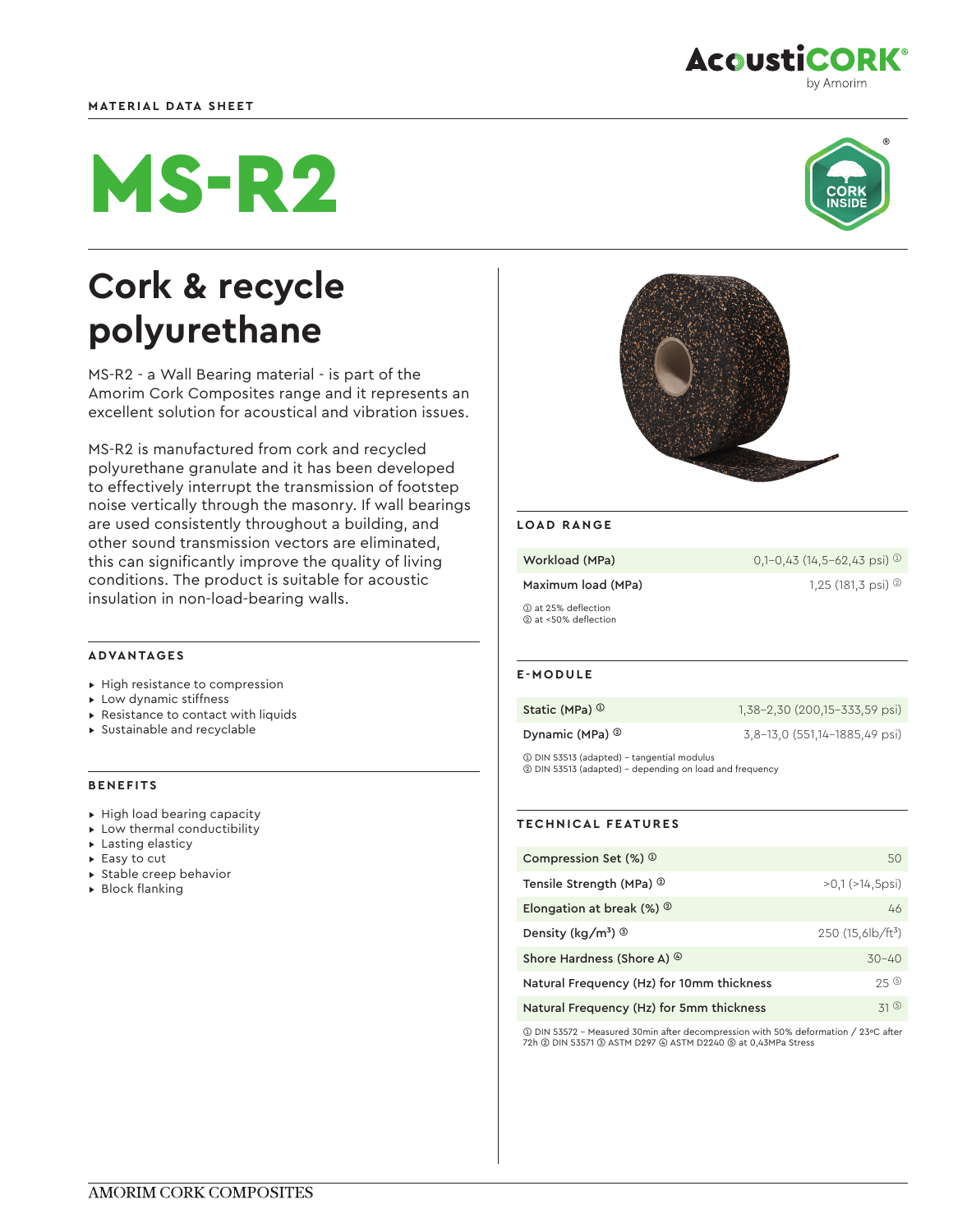# **MATERIAL DATA SHEET**



# MS-R2



# **Cork & recycle polyurethane**

MS-R2 - a Wall Bearing material - is part of the Amorim Cork Composites range and it represents an excellent solution for acoustical and vibration issues.

MS-R2 is manufactured from cork and recycled polyurethane granulate and it has been developed to effectively interrupt the transmission of footstep noise vertically through the masonry. If wall bearings are used consistently throughout a building, and other sound transmission vectors are eliminated, this can significantly improve the quality of living conditions. The product is suitable for acoustic insulation in non-load-bearing walls.

# **ADVANTAGES**

- ▸ High resistance to compression
- ▸ Low dynamic stiffness
- ▸ Resistance to contact with liquids
- ▸ Sustainable and recyclable

# **BENEFITS**

- ▸ High load bearing capacity
- ▸ Low thermal conductibility
- ▸ Lasting elasticy
- ▸ Easy to cut
- ▸ Stable creep behavior
- ▸ Block flanking



#### **LOAD RANGE**

**Workload (MPa)** 0,1-0,43 (14,5-62,43 psi)  $\textcircled{\scriptsize{1}}$ Maximum load (MPa)  $1,25$  (181,3 psi)  $\circledcirc$ 

➀ at 25% deflection ➁ at <50% deflection

#### **E-MODULE**

| Static (MPa) $\circledcirc$ | 1,38-2,30 (200,15-333,59 psi) |
|-----------------------------|-------------------------------|
| Dynamic (MPa) <sup>2</sup>  | 3,8-13,0 (551,14-1885,49 psi) |

➀ DIN 53513 (adapted) - tangential modulus ➁ DIN 53513 (adapted) - depending on load and frequency

#### **TECHNICAL FEATURES**

| Compression Set $(\%)$ $\circ$              | 50                       |
|---------------------------------------------|--------------------------|
| Tensile Strength (MPa) <sup>2</sup>         | $>0.1$ ( $>14.5$ psi)    |
| Elongation at break $(\%)$ $^{\circledR}$   | 46                       |
| Density (kg/m <sup>3</sup> ) $\circledcirc$ | $250(15,6)b/\text{ft}^3$ |
| Shore Hardness (Shore A) $\circledcirc$     | $30 - 40$                |
| Natural Frequency (Hz) for 10mm thickness   | 250                      |
| Natural Frequency (Hz) for 5mm thickness    | 31(5)                    |

➀ DIN 53572 - Measured 30min after decompression with 50% deformation / 23ºC after 72h ➁ DIN 53571 ➂ ASTM D297 ➃ ASTM D2240 ➄ at 0,43MPa Stress